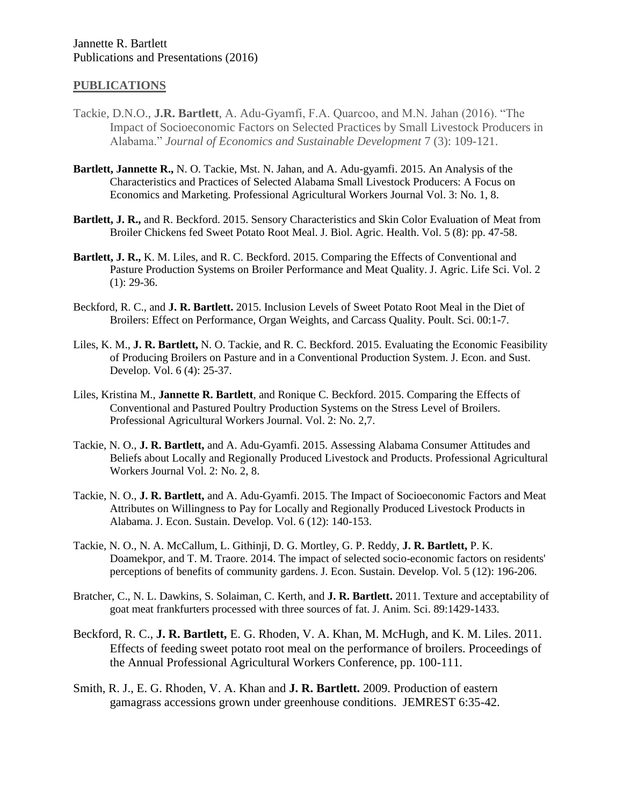## **PUBLICATIONS**

- Tackie, D.N.O., **J.R. Bartlett**, A. Adu-Gyamfi, F.A. Quarcoo, and M.N. Jahan (2016). "The Impact of Socioeconomic Factors on Selected Practices by Small Livestock Producers in Alabama." *Journal of Economics and Sustainable Development* 7 (3): 109-121.
- **Bartlett, Jannette R.,** N. O. Tackie, Mst. N. Jahan, and A. Adu-gyamfi. 2015. An Analysis of the Characteristics and Practices of Selected Alabama Small Livestock Producers: A Focus on Economics and Marketing. Professional Agricultural Workers Journal Vol. 3: No. 1, 8.
- **Bartlett, J. R.,** and R. Beckford. 2015. Sensory Characteristics and Skin Color Evaluation of Meat from Broiler Chickens fed Sweet Potato Root Meal. J. Biol. Agric. Health. Vol. 5 (8): pp. 47-58.
- **Bartlett, J. R.,** K. M. Liles, and R. C. Beckford. 2015. Comparing the Effects of Conventional and Pasture Production Systems on Broiler Performance and Meat Quality. J. Agric. Life Sci. Vol. 2  $(1)$ : 29-36.
- Beckford, R. C., and **J. R. Bartlett.** 2015. Inclusion Levels of Sweet Potato Root Meal in the Diet of Broilers: Effect on Performance, Organ Weights, and Carcass Quality. Poult. Sci. 00:1-7.
- Liles, K. M., **J. R. Bartlett,** N. O. Tackie, and R. C. Beckford. 2015. Evaluating the Economic Feasibility of Producing Broilers on Pasture and in a Conventional Production System. J. Econ. and Sust. Develop. Vol. 6 (4): 25-37.
- Liles, Kristina M., **Jannette R. Bartlett**, and Ronique C. Beckford. 2015. Comparing the Effects of Conventional and Pastured Poultry Production Systems on the Stress Level of Broilers. Professional Agricultural Workers Journal. Vol. 2: No. 2,7.
- Tackie, N. O., **J. R. Bartlett,** and A. Adu-Gyamfi. 2015. Assessing Alabama Consumer Attitudes and Beliefs about Locally and Regionally Produced Livestock and Products. Professional Agricultural Workers Journal Vol. 2: No. 2, 8.
- Tackie, N. O., **J. R. Bartlett,** and A. Adu-Gyamfi. 2015. The Impact of Socioeconomic Factors and Meat Attributes on Willingness to Pay for Locally and Regionally Produced Livestock Products in Alabama. J. Econ. Sustain. Develop. Vol. 6 (12): 140-153.
- Tackie, N. O., N. A. McCallum, L. Githinji, D. G. Mortley, G. P. Reddy, **J. R. Bartlett,** P. K. Doamekpor, and T. M. Traore. 2014. The impact of selected socio-economic factors on residents' perceptions of benefits of community gardens. J. Econ. Sustain. Develop. Vol. 5 (12): 196-206.
- Bratcher, C., N. L. Dawkins, S. Solaiman, C. Kerth, and **J. R. Bartlett.** 2011. Texture and acceptability of goat meat frankfurters processed with three sources of fat. J. Anim. Sci. 89:1429-1433.
- Beckford, R. C., **J. R. Bartlett,** E. G. Rhoden, V. A. Khan, M. McHugh, and K. M. Liles. 2011. Effects of feeding sweet potato root meal on the performance of broilers. Proceedings of the Annual Professional Agricultural Workers Conference, pp. 100-111.
- Smith, R. J., E. G. Rhoden, V. A. Khan and **J. R. Bartlett.** 2009. Production of eastern gamagrass accessions grown under greenhouse conditions. JEMREST 6:35-42.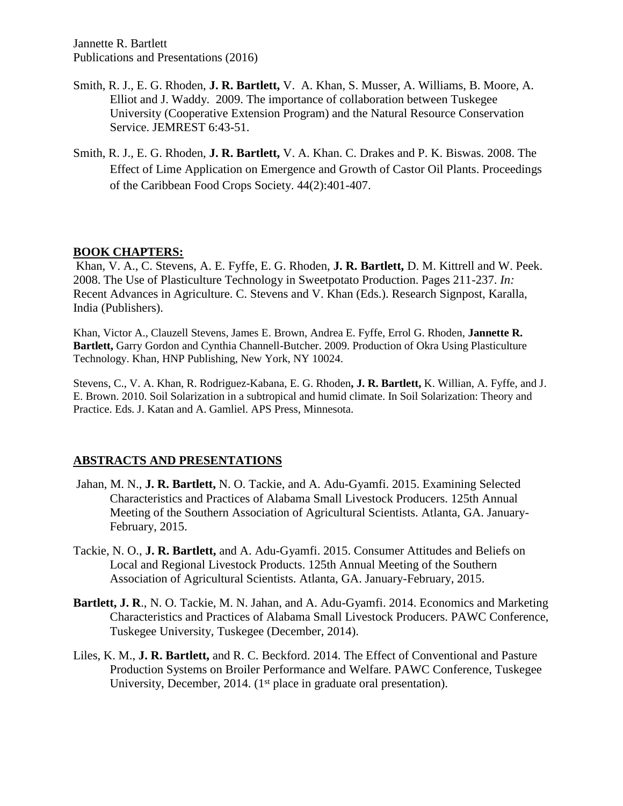- Smith, R. J., E. G. Rhoden, **J. R. Bartlett,** V. A. Khan, S. Musser, A. Williams, B. Moore, A. Elliot and J. Waddy. 2009. The importance of collaboration between Tuskegee University (Cooperative Extension Program) and the Natural Resource Conservation Service. JEMREST 6:43-51.
- Smith, R. J., E. G. Rhoden, **J. R. Bartlett,** V. A. Khan. C. Drakes and P. K. Biswas. 2008. The Effect of Lime Application on Emergence and Growth of Castor Oil Plants. Proceedings of the Caribbean Food Crops Society. 44(2):401-407.

# **BOOK CHAPTERS:**

Khan, V. A., C. Stevens, A. E. Fyffe, E. G. Rhoden, **J. R. Bartlett,** D. M. Kittrell and W. Peek. 2008. The Use of Plasticulture Technology in Sweetpotato Production. Pages 211-237. *In:* Recent Advances in Agriculture. C. Stevens and V. Khan (Eds.). Research Signpost, Karalla, India (Publishers).

Khan, Victor A., Clauzell Stevens, James E. Brown, Andrea E. Fyffe, Errol G. Rhoden, **Jannette R. Bartlett,** Garry Gordon and Cynthia Channell-Butcher. 2009. Production of Okra Using Plasticulture Technology. Khan, HNP Publishing, New York, NY 10024.

Stevens, C., V. A. Khan, R. Rodriguez-Kabana, E. G. Rhoden**, J. R. Bartlett,** K. Willian, A. Fyffe, and J. E. Brown. 2010. Soil Solarization in a subtropical and humid climate. In Soil Solarization: Theory and Practice. Eds. J. Katan and A. Gamliel. APS Press, Minnesota.

## **ABSTRACTS AND PRESENTATIONS**

- Jahan, M. N., **J. R. Bartlett,** N. O. Tackie, and A. Adu-Gyamfi. 2015. Examining Selected Characteristics and Practices of Alabama Small Livestock Producers. 125th Annual Meeting of the Southern Association of Agricultural Scientists. Atlanta, GA. January-February, 2015.
- Tackie, N. O., **J. R. Bartlett,** and A. Adu-Gyamfi. 2015. Consumer Attitudes and Beliefs on Local and Regional Livestock Products. 125th Annual Meeting of the Southern Association of Agricultural Scientists. Atlanta, GA. January-February, 2015.
- **Bartlett, J. R**., N. O. Tackie, M. N. Jahan, and A. Adu-Gyamfi. 2014. Economics and Marketing Characteristics and Practices of Alabama Small Livestock Producers. PAWC Conference, Tuskegee University, Tuskegee (December, 2014).
- Liles, K. M., **J. R. Bartlett,** and R. C. Beckford. 2014. The Effect of Conventional and Pasture Production Systems on Broiler Performance and Welfare. PAWC Conference, Tuskegee University, December, 2014. (1<sup>st</sup> place in graduate oral presentation).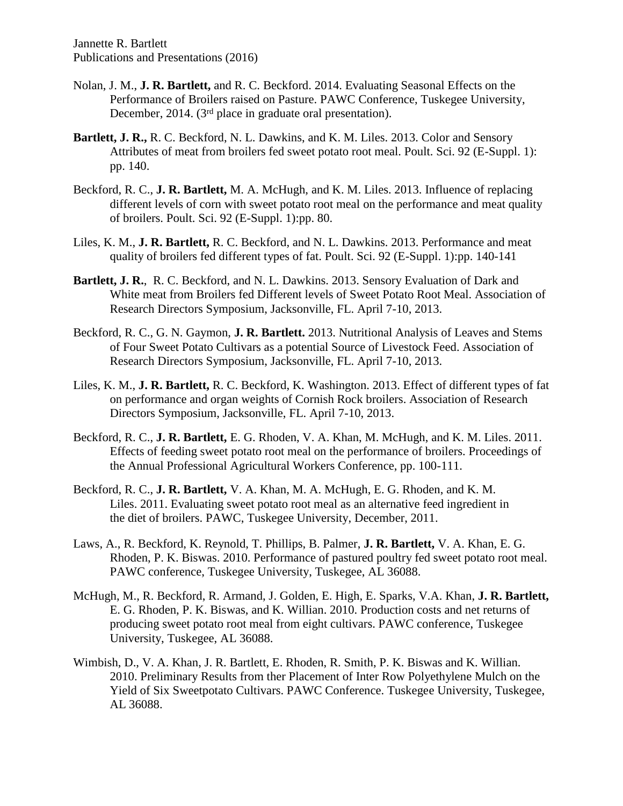- Nolan, J. M., **J. R. Bartlett,** and R. C. Beckford. 2014. Evaluating Seasonal Effects on the Performance of Broilers raised on Pasture. PAWC Conference, Tuskegee University, December, 2014. (3<sup>rd</sup> place in graduate oral presentation).
- **Bartlett, J. R.,** R. C. Beckford, N. L. Dawkins, and K. M. Liles. 2013. Color and Sensory Attributes of meat from broilers fed sweet potato root meal. Poult. Sci. 92 (E-Suppl. 1): pp. 140.
- Beckford, R. C., **J. R. Bartlett,** M. A. McHugh, and K. M. Liles. 2013. Influence of replacing different levels of corn with sweet potato root meal on the performance and meat quality of broilers. Poult. Sci. 92 (E-Suppl. 1):pp. 80.
- Liles, K. M., **J. R. Bartlett,** R. C. Beckford, and N. L. Dawkins. 2013. Performance and meat quality of broilers fed different types of fat. Poult. Sci. 92 (E-Suppl. 1):pp. 140-141
- **Bartlett, J. R.**, R. C. Beckford, and N. L. Dawkins. 2013. Sensory Evaluation of Dark and White meat from Broilers fed Different levels of Sweet Potato Root Meal. Association of Research Directors Symposium, Jacksonville, FL. April 7-10, 2013.
- Beckford, R. C., G. N. Gaymon, **J. R. Bartlett.** 2013. Nutritional Analysis of Leaves and Stems of Four Sweet Potato Cultivars as a potential Source of Livestock Feed. Association of Research Directors Symposium, Jacksonville, FL. April 7-10, 2013.
- Liles, K. M., **J. R. Bartlett,** R. C. Beckford, K. Washington. 2013. Effect of different types of fat on performance and organ weights of Cornish Rock broilers. Association of Research Directors Symposium, Jacksonville, FL. April 7-10, 2013.
- Beckford, R. C., **J. R. Bartlett,** E. G. Rhoden, V. A. Khan, M. McHugh, and K. M. Liles. 2011. Effects of feeding sweet potato root meal on the performance of broilers. Proceedings of the Annual Professional Agricultural Workers Conference, pp. 100-111.
- Beckford, R. C., **J. R. Bartlett,** V. A. Khan, M. A. McHugh, E. G. Rhoden, and K. M. Liles. 2011. Evaluating sweet potato root meal as an alternative feed ingredient in the diet of broilers. PAWC, Tuskegee University, December, 2011.
- Laws, A., R. Beckford, K. Reynold, T. Phillips, B. Palmer, **J. R. Bartlett,** V. A. Khan, E. G. Rhoden, P. K. Biswas. 2010. Performance of pastured poultry fed sweet potato root meal. PAWC conference, Tuskegee University, Tuskegee, AL 36088.
- McHugh, M., R. Beckford, R. Armand, J. Golden, E. High, E. Sparks, V.A. Khan, **J. R. Bartlett,** E. G. Rhoden, P. K. Biswas, and K. Willian. 2010. Production costs and net returns of producing sweet potato root meal from eight cultivars. PAWC conference, Tuskegee University, Tuskegee, AL 36088.
- Wimbish, D., V. A. Khan, J. R. Bartlett, E. Rhoden, R. Smith, P. K. Biswas and K. Willian. 2010. Preliminary Results from ther Placement of Inter Row Polyethylene Mulch on the Yield of Six Sweetpotato Cultivars. PAWC Conference. Tuskegee University, Tuskegee, AL 36088.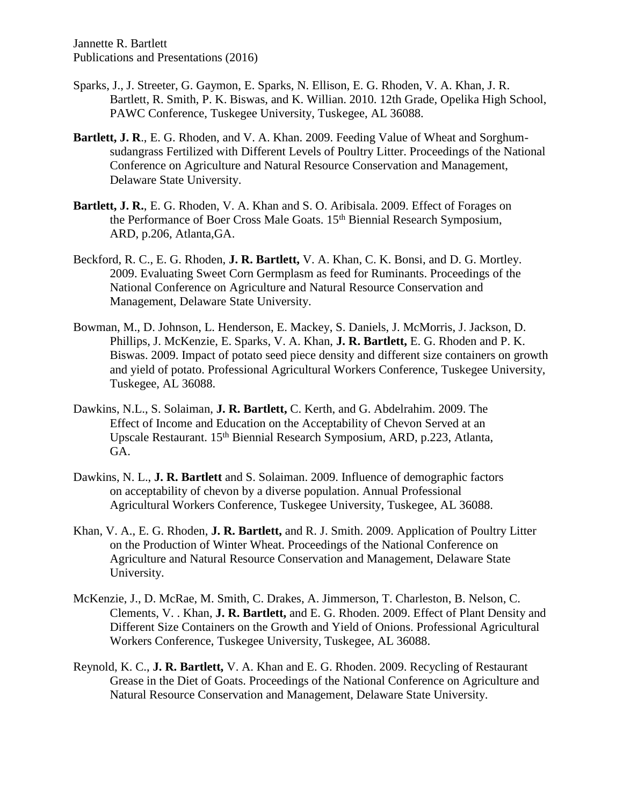- Sparks, J., J. Streeter, G. Gaymon, E. Sparks, N. Ellison, E. G. Rhoden, V. A. Khan, J. R. Bartlett, R. Smith, P. K. Biswas, and K. Willian. 2010. 12th Grade, Opelika High School, PAWC Conference, Tuskegee University, Tuskegee, AL 36088.
- **Bartlett, J. R**., E. G. Rhoden, and V. A. Khan. 2009. Feeding Value of Wheat and Sorghumsudangrass Fertilized with Different Levels of Poultry Litter. Proceedings of the National Conference on Agriculture and Natural Resource Conservation and Management, Delaware State University.
- **Bartlett, J. R.**, E. G. Rhoden, V. A. Khan and S. O. Aribisala. 2009. Effect of Forages on the Performance of Boer Cross Male Goats. 15th Biennial Research Symposium, ARD, p.206, Atlanta,GA.
- Beckford, R. C., E. G. Rhoden, **J. R. Bartlett,** V. A. Khan, C. K. Bonsi, and D. G. Mortley. 2009. Evaluating Sweet Corn Germplasm as feed for Ruminants. Proceedings of the National Conference on Agriculture and Natural Resource Conservation and Management, Delaware State University.
- Bowman, M., D. Johnson, L. Henderson, E. Mackey, S. Daniels, J. McMorris, J. Jackson, D. Phillips, J. McKenzie, E. Sparks, V. A. Khan, **J. R. Bartlett,** E. G. Rhoden and P. K. Biswas. 2009. Impact of potato seed piece density and different size containers on growth and yield of potato. Professional Agricultural Workers Conference, Tuskegee University, Tuskegee, AL 36088.
- Dawkins, N.L., S. Solaiman, **J. R. Bartlett,** C. Kerth, and G. Abdelrahim. 2009. The Effect of Income and Education on the Acceptability of Chevon Served at an Upscale Restaurant. 15th Biennial Research Symposium, ARD, p.223, Atlanta, GA.
- Dawkins, N. L., **J. R. Bartlett** and S. Solaiman. 2009. Influence of demographic factors on acceptability of chevon by a diverse population. Annual Professional Agricultural Workers Conference, Tuskegee University, Tuskegee, AL 36088.
- Khan, V. A., E. G. Rhoden, **J. R. Bartlett,** and R. J. Smith. 2009. Application of Poultry Litter on the Production of Winter Wheat. Proceedings of the National Conference on Agriculture and Natural Resource Conservation and Management, Delaware State University.
- McKenzie, J., D. McRae, M. Smith, C. Drakes, A. Jimmerson, T. Charleston, B. Nelson, C. Clements, V. . Khan, **J. R. Bartlett,** and E. G. Rhoden. 2009. Effect of Plant Density and Different Size Containers on the Growth and Yield of Onions. Professional Agricultural Workers Conference, Tuskegee University, Tuskegee, AL 36088.
- Reynold, K. C., **J. R. Bartlett,** V. A. Khan and E. G. Rhoden. 2009. Recycling of Restaurant Grease in the Diet of Goats. Proceedings of the National Conference on Agriculture and Natural Resource Conservation and Management, Delaware State University.